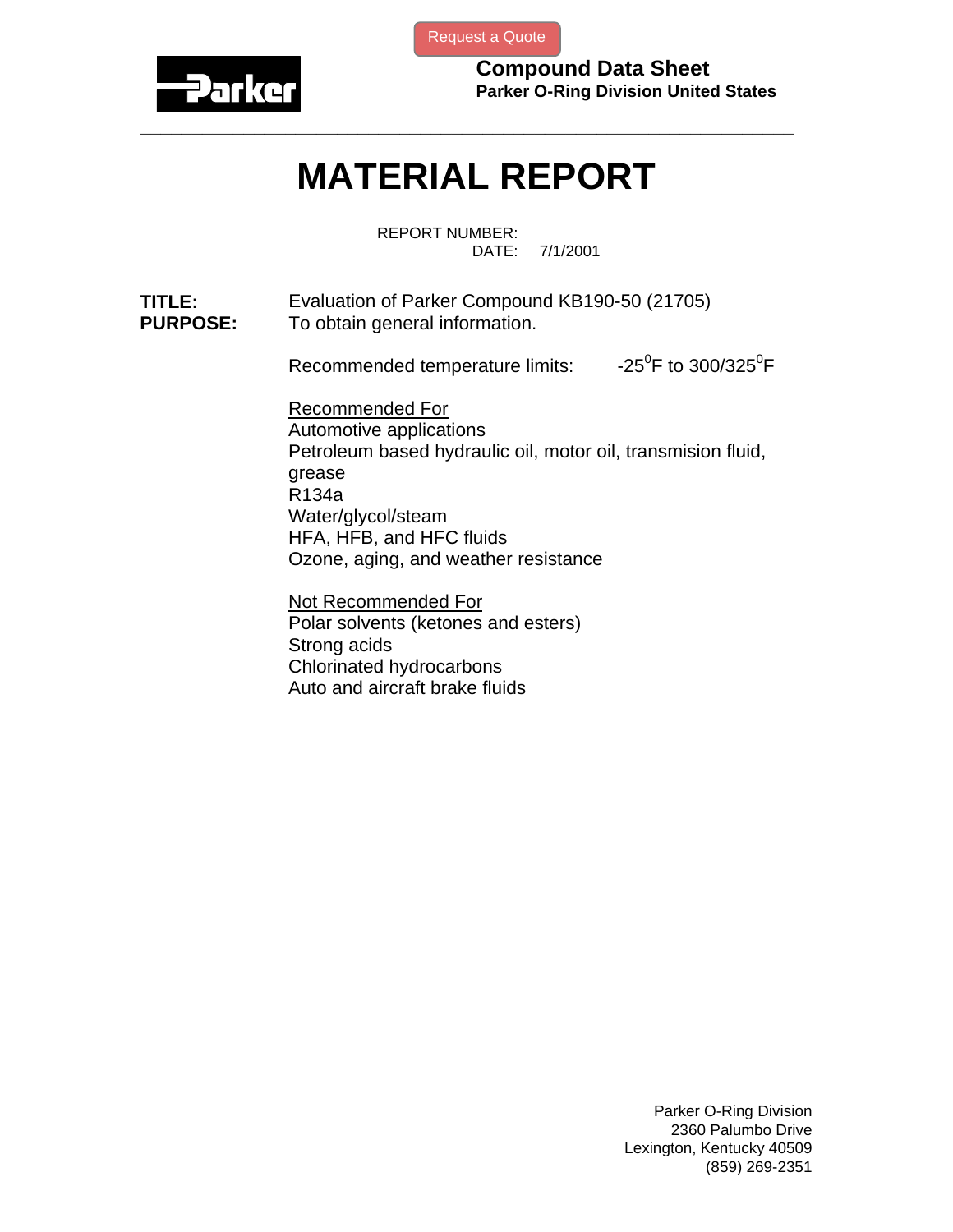

[Request a Quote](http://www.marcorubber.com/contact_quote.htm?material=Parker+KB190-50)

**Compound Data Sheet Parker O-Ring Division United States** 

## **MATERIAL REPORT**

**\_\_\_\_\_\_\_\_\_\_\_\_\_\_\_\_\_\_\_\_\_\_\_\_\_\_\_\_\_\_\_\_\_\_\_\_\_\_\_\_\_\_\_\_\_\_\_\_\_\_\_\_\_\_\_\_\_\_\_\_\_\_\_** 

REPORT NUMBER: DATE: 7/1/2001

**TITLE:** Evaluation of Parker Compound KB190-50 (21705) **PURPOSE:** To obtain general information.

Recommended temperature limits:  $-25^{\circ}$ F to 300/325 $^{\circ}$ F

Recommended For Automotive applications Petroleum based hydraulic oil, motor oil, transmision fluid, grease R134a Water/glycol/steam HFA, HFB, and HFC fluids Ozone, aging, and weather resistance

Not Recommended For Polar solvents (ketones and esters) Strong acids Chlorinated hydrocarbons Auto and aircraft brake fluids

> Parker O-Ring Division 2360 Palumbo Drive Lexington, Kentucky 40509 (859) 269-2351